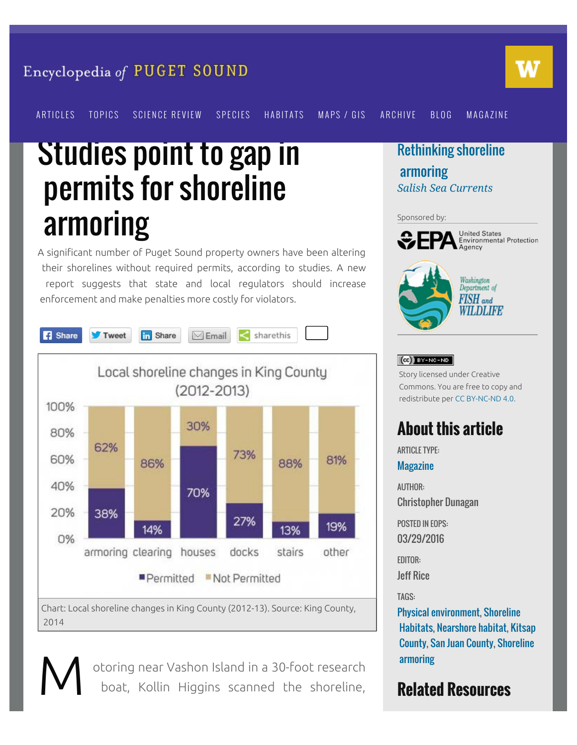#### Encyclopedia of PUGET SOUND



[ARTICLES](https://www.eopugetsound.org/articles) [TOPICS](https://www.eopugetsound.org/areas) [SCIENCE REVIEW](https://www.eopugetsound.org/science-review) [SPECIES](https://www.eopugetsound.org/species) [HABITATS](https://www.eopugetsound.org/areas/biology) [MAPS / GIS](https://www.eopugetsound.org/maps) [ARCHIVE](https://www.eopugetsound.org/archive) [BLOG](https://www.eopugetsound.org/blog) [MAGAZINE](https://www.eopugetsound.org/magazine)

# Studies point to gap in permits for shoreline armoring

A significant number of Puget Sound property owners have been altering their shorelines without required permits, according to studies. A new report suggests that state and local regulators should increase enforcement and make penalties more costly for violators.



M

otoring near Vashon Island in a 30-foot research boat, Kollin Higgins scanned the shoreline,

#### [Rethinking shoreline](https://www.eopugetsound.org/magazine/shoreline-armoring)  [armoring](https://www.eopugetsound.org/magazine/shoreline-armoring) *[Salish Sea Currents](https://www.eopugetsound.org/magazine)*

#### Sponsored by:



**United States** Environmental Protection



#### $(G)$  BY-NC-ND

Story licensed under Creative Commons. You are free to copy and redistribute per [CC BY-NC-ND 4.0](http://creativecommons.org/licenses/by-nc-nd/4.0/).

### **About this article**

ARTICLE TYPE:

**[Magazine](https://www.eopugetsound.org/articles?field_feature_type_tid%5B%5D=308)** 

AUTHOR: Christopher Dunagan

POSTED IN EOPS: 03/29/2016

EDITOR:

Jeff Rice

TAGS:

[Physical environment](https://www.eopugetsound.org/areas/physical-environment), [Shoreline](https://www.eopugetsound.org/topics/categories/305)  [Habitats,](https://www.eopugetsound.org/topics/categories/305) [Nearshore habitat,](https://www.eopugetsound.org/topics/categories/80) [Kitsap](https://www.eopugetsound.org/topics/categories/95)  [County,](https://www.eopugetsound.org/topics/categories/95) [San Juan County](https://www.eopugetsound.org/topics/categories/99), [Shoreline](https://www.eopugetsound.org/topics/categories/125)  [armoring](https://www.eopugetsound.org/topics/categories/125)

### **Related Resources**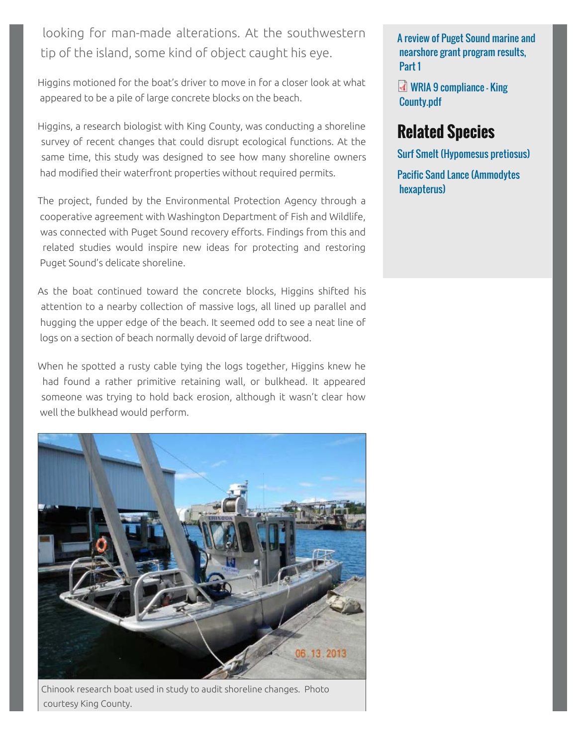looking for man-made alterations. At the southwestern tip of the island, some kind of object caught his eye.

Higgins motioned for the boat's driver to move in for a closer look at what appeared to be a pile of large concrete blocks on the beach.

Higgins, a research biologist with King County, was conducting a shoreline survey of recent changes that could disrupt ecological functions. At the same time, this study was designed to see how many shoreline owners had modified their waterfront properties without required permits.

The project, funded by the Environmental Protection Agency through a cooperative agreement with Washington Department of Fish and Wildlife, was connected with Puget Sound recovery efforts. Findings from this and related studies would inspire new ideas for protecting and restoring Puget Sound's delicate shoreline.

As the boat continued toward the concrete blocks, Higgins shifted his attention to a nearby collection of massive logs, all lined up parallel and hugging the upper edge of the beach. It seemed odd to see a neat line of logs on a section of beach normally devoid of large driftwood.

When he spotted a rusty cable tying the logs together, Higgins knew he had found a rather primitive retaining wall, or bulkhead. It appeared someone was trying to hold back erosion, although it wasn't clear how well the bulkhead would perform.



Chinook research boat used in study to audit shoreline changes. Photo courtesy King County.

[A review of Puget Sound marine and](https://www.eopugetsound.org/articles/review-puget-sound-marine-and-nearshore-grant-program-results-part-1)  [nearshore grant program results,](https://www.eopugetsound.org/articles/review-puget-sound-marine-and-nearshore-grant-program-results-part-1)  [Part 1](https://www.eopugetsound.org/articles/review-puget-sound-marine-and-nearshore-grant-program-results-part-1)

[WRIA 9 compliance - King](https://www.eopugetsound.org/sites/default/files/features/resources/WRIA%209%20compliance%20-%20King%20County.pdf)  [County.pdf](https://www.eopugetsound.org/sites/default/files/features/resources/WRIA%209%20compliance%20-%20King%20County.pdf)

### **Related Species**

[Surf Smelt \(Hypomesus pretiosus\)](https://www.eopugetsound.org/species/hypomesus-pretiosus)

[Pacific Sand Lance \(Ammodytes](https://www.eopugetsound.org/species/ammodytes-hexapterus)  [hexapterus\)](https://www.eopugetsound.org/species/ammodytes-hexapterus)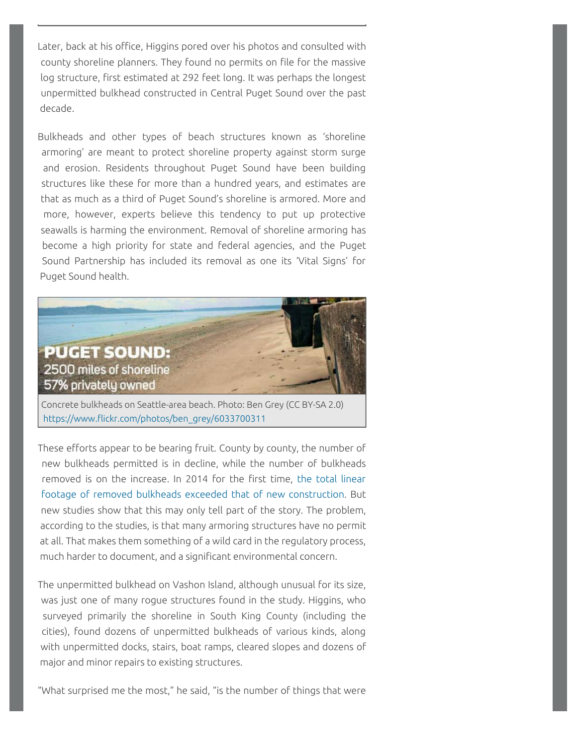Later, back at his office, Higgins pored over his photos and consulted with county shoreline planners. They found no permits on file for the massive log structure, first estimated at 292 feet long. It was perhaps the longest unpermitted bulkhead constructed in Central Puget Sound over the past decade.

Bulkheads and other types of beach structures known as 'shoreline armoring' are meant to protect shoreline property against storm surge and erosion. Residents throughout Puget Sound have been building structures like these for more than a hundred years, and estimates are that as much as a third of Puget Sound's shoreline is armored. More and more, however, experts believe this tendency to put up protective seawalls is harming the environment. Removal of shoreline armoring has become a high priority for state and federal agencies, and the Puget Sound Partnership has included its removal as one its 'Vital Signs' for Puget Sound health.



[https://www.flickr.com/photos/ben\\_grey/6033700311](https://www.flickr.com/photos/ben_grey/6033700311)

These efforts appear to be bearing fruit. County by county, the number of new bulkheads permitted is in decline, while the number of bulkheads removed is on the increase. In 2014 for the first time, [the total linear](http://blog.pugetsoundinstitute.org/2015/08/could-shoreline-armoring-finally-be-declining-in-puget-sound/)  [footage of removed bulkheads exceeded that of new construction](http://blog.pugetsoundinstitute.org/2015/08/could-shoreline-armoring-finally-be-declining-in-puget-sound/). But new studies show that this may only tell part of the story. The problem, according to the studies, is that many armoring structures have no permit at all. That makes them something of a wild card in the regulatory process, much harder to document, and a significant environmental concern.

The unpermitted bulkhead on Vashon Island, although unusual for its size, was just one of many rogue structures found in the study. Higgins, who surveyed primarily the shoreline in South King County (including the cities), found dozens of unpermitted bulkheads of various kinds, along with unpermitted docks, stairs, boat ramps, cleared slopes and dozens of major and minor repairs to existing structures.

"What surprised me the most," he said, "is the number of things that were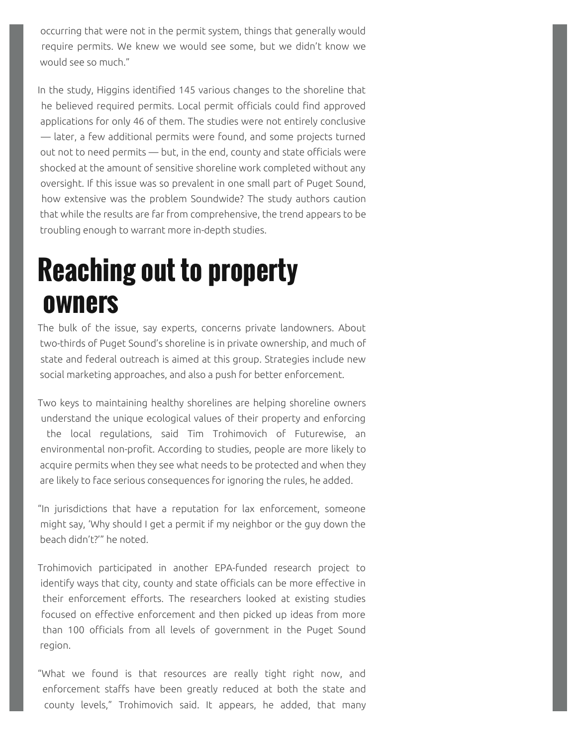occurring that were not in the permit system, things that generally would require permits. We knew we would see some, but we didn't know we would see so much."

In the study, Higgins identified 145 various changes to the shoreline that he believed required permits. Local permit officials could find approved applications for only 46 of them. The studies were not entirely conclusive — later, a few additional permits were found, and some projects turned out not to need permits — but, in the end, county and state officials were shocked at the amount of sensitive shoreline work completed without any oversight. If this issue was so prevalent in one small part of Puget Sound, how extensive was the problem Soundwide? The study authors caution that while the results are far from comprehensive, the trend appears to be troubling enough to warrant more in-depth studies.

## **Reaching out to property owners**

The bulk of the issue, say experts, concerns private landowners. About two-thirds of Puget Sound's shoreline is in private ownership, and much of state and federal outreach is aimed at this group. Strategies include new social marketing approaches, and also a push for better enforcement.

Two keys to maintaining healthy shorelines are helping shoreline owners understand the unique ecological values of their property and enforcing the local regulations, said Tim Trohimovich of Futurewise, an environmental non-profit. According to studies, people are more likely to acquire permits when they see what needs to be protected and when they are likely to face serious consequences for ignoring the rules, he added.

"In jurisdictions that have a reputation for lax enforcement, someone might say, 'Why should I get a permit if my neighbor or the guy down the beach didn't?'" he noted.

Trohimovich participated in another EPA-funded research project to identify ways that city, county and state officials can be more effective in their enforcement efforts. The researchers looked at existing studies focused on effective enforcement and then picked up ideas from more than 100 officials from all levels of government in the Puget Sound region.

"What we found is that resources are really tight right now, and enforcement staffs have been greatly reduced at both the state and county levels," Trohimovich said. It appears, he added, that many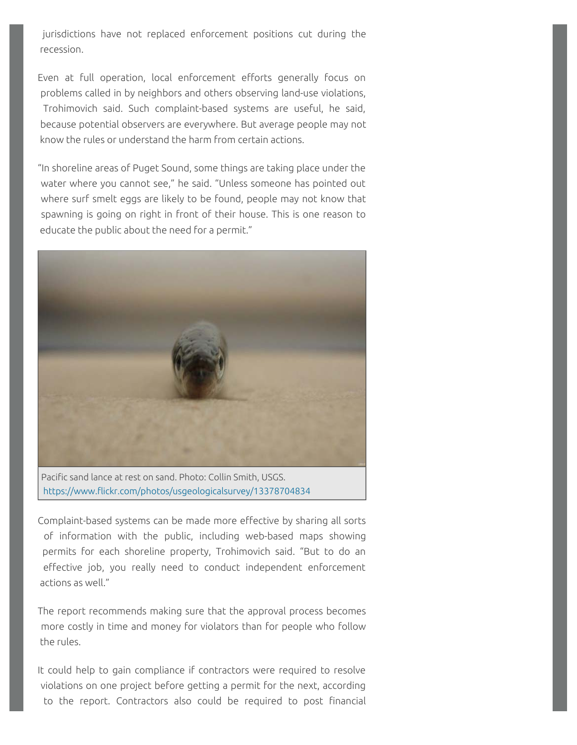jurisdictions have not replaced enforcement positions cut during the recession.

Even at full operation, local enforcement efforts generally focus on problems called in by neighbors and others observing land-use violations, Trohimovich said. Such complaint-based systems are useful, he said, because potential observers are everywhere. But average people may not know the rules or understand the harm from certain actions.

"In shoreline areas of Puget Sound, some things are taking place under the water where you cannot see," he said. "Unless someone has pointed out where surf smelt eggs are likely to be found, people may not know that spawning is going on right in front of their house. This is one reason to educate the public about the need for a permit."



<https://www.flickr.com/photos/usgeologicalsurvey/13378704834>

Complaint-based systems can be made more effective by sharing all sorts of information with the public, including web-based maps showing permits for each shoreline property, Trohimovich said. "But to do an effective job, you really need to conduct independent enforcement actions as well."

The report recommends making sure that the approval process becomes more costly in time and money for violators than for people who follow the rules.

It could help to gain compliance if contractors were required to resolve violations on one project before getting a permit for the next, according to the report. Contractors also could be required to post financial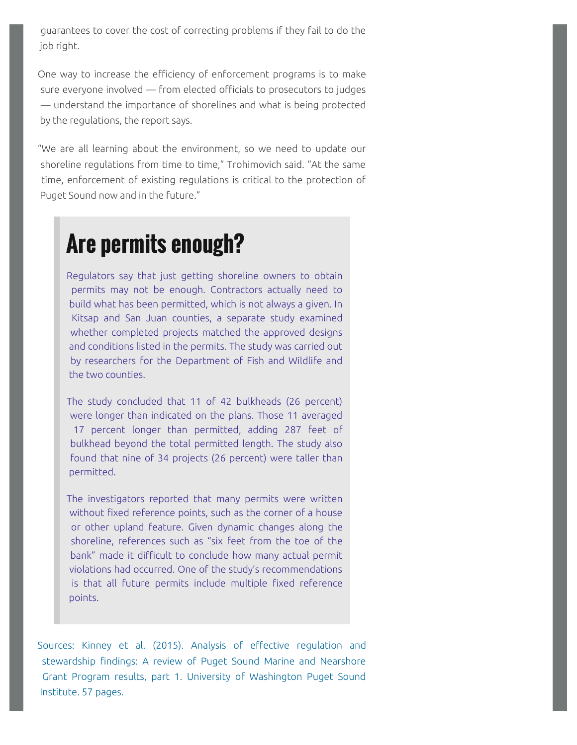guarantees to cover the cost of correcting problems if they fail to do the job right.

One way to increase the efficiency of enforcement programs is to make sure everyone involved — from elected officials to prosecutors to judges — understand the importance of shorelines and what is being protected by the regulations, the report says.

"We are all learning about the environment, so we need to update our shoreline regulations from time to time," Trohimovich said. "At the same time, enforcement of existing regulations is critical to the protection of Puget Sound now and in the future."

## **Are permits enough?**

Regulators say that just getting shoreline owners to obtain permits may not be enough. Contractors actually need to build what has been permitted, which is not always a given. In Kitsap and San Juan counties, a separate study examined whether completed projects matched the approved designs and conditions listed in the permits. The study was carried out by researchers for the Department of Fish and Wildlife and the two counties.

The study concluded that 11 of 42 bulkheads (26 percent) were longer than indicated on the plans. Those 11 averaged 17 percent longer than permitted, adding 287 feet of bulkhead beyond the total permitted length. The study also found that nine of 34 projects (26 percent) were taller than permitted.

The investigators reported that many permits were written without fixed reference points, such as the corner of a house or other upland feature. Given dynamic changes along the shoreline, references such as "six feet from the toe of the bank" made it difficult to conclude how many actual permit violations had occurred. One of the study's recommendations is that all future permits include multiple fixed reference points.

[Sources: Kinney et al. \(2015\). Analysis of effective regulation and](https://www.eopugetsound.org/articles/review-puget-sound-marine-and-nearshore-grant-program-results-part-1)  [stewardship findings: A review of Puget Sound Marine and Nearshore](https://www.eopugetsound.org/articles/review-puget-sound-marine-and-nearshore-grant-program-results-part-1)  [Grant Program results, part 1. University of Washington Puget Sound](https://www.eopugetsound.org/articles/review-puget-sound-marine-and-nearshore-grant-program-results-part-1)  [Institute. 57 pages.](https://www.eopugetsound.org/articles/review-puget-sound-marine-and-nearshore-grant-program-results-part-1)